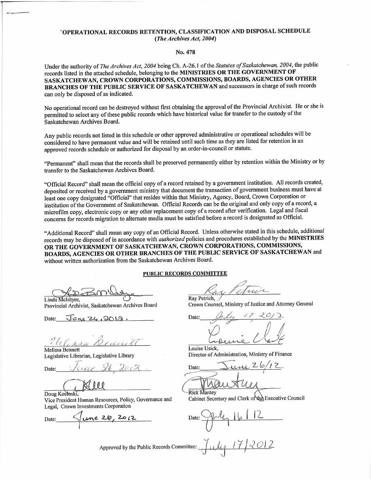#### 'OPERATIONAL RECORDS RETENTION, CLASSIFICATION AND DISPOSAL SCHEDULE (The Archives Act, 2004)

#### No. 478

Under the authority of The Archives Act, 2004 being Ch. A-26.1 of the Statutes of Saskatchewan, 2004, the public records listed in the attached schedule, belonging to the MINISTRIES OR THE GOVERNMENT OF SASKATCHEWAN, CROWN CORPORATIONS, COMMISSIONS, BOARDS, AGENCIES OR OTHER BRANCHES OF THE PUBLIC SERVICE OF SASKATCHEWAN and successors in charge of such records can only be disposed of as indicated.

No operational record can be destroyed without first obtaining the approval of the Provincial Archivist. He or she is permitted to select any of these public records which have historical value for transfer to the custody of the Saskatchewan Archives Board.

Any public records not listed in this schedule or other approved administrative or operational schedules will be considered to have permanent value and will be retained until such time as they are listed for retention in an approved records schedule or authorized for disposal by an order-in-council or statute.

"Permanent" shall mean that the records shall be preserved permanently either by retention within the Ministry or by transfer to the Saskatchewan Archives Board.

"Official Record" shall mean the official copy of a record retained by a government institution. All records created, deposited or received by a government ministry that document the transaction of government business must have at least one copy designated "Official" that resides within that Ministry, Agency, Board, Crown Corporation or institution of the Government of Saskatchewan. Official Records can be the original and only copy of a record, a microfilm copy, electronic copy or any other replacement copy of a record after verification. Legal and fiscal concerns for records migration to alternate media must be satisfied before a record is designated as Official.

"Additional Record" shall mean any copy of an Official Record. Unless otherwise stated in this schedule, additional records may be disposed of in accordance with *authorized* policies and procedures established by the MINISTRIES OR THE GOVERNMENT OF SASKATCHEWAN, CROWN CORPORATIONS, COMMISSIONS, BOARDS, AGENCIES OR OTHER BRANCHES OF THE PUBLIC SERVICE OF SASKATCHEWAN and without written authorization from the Saskatchewan Archives Board.

PUBLIC RECORDS COMMITTEE

Linda McIntyre. Provincial Archivist, Saskatchewan Archives Board

Date:  $Jone 26.2013$ 

MAR Melissa Bennett

Legislative Librarian, Legislative Library

Date:

Doug Kostoski, Vice President Human Resources, Policy, Governance and Legal, Crown Investments Corporation

une 20, 2012 Date:

etre Ray Petrich.

Crown Counsel, Ministry of Justice and Attorney General

Date:

Louise Usick, Director of Administration, Ministry of Finance

Date:

**Rick Mantey** Cabinet Secretary and Clerk of the Executive Council

Approved by the Public Records Committee:  $\int \mathcal{L} \mathcal{L}$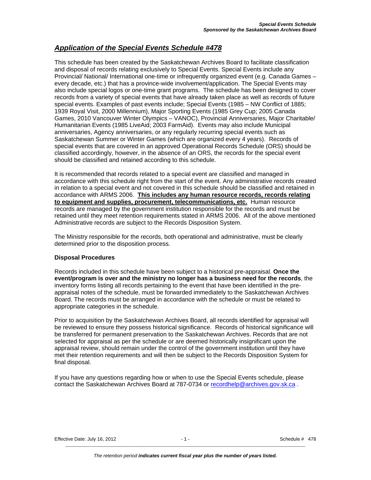#### *Application of the Special Events Schedule #478*

This schedule has been created by the Saskatchewan Archives Board to facilitate classification and disposal of records relating exclusively to Special Events. Special Events include any Provincial/ National/ International one-time or infrequently organized event (e.g. Canada Games – every decade, etc.) that has a province-wide involvement/application. The Special Events may also include special logos or one-time grant programs. The schedule has been designed to cover records from a variety of special events that have already taken place as well as records of future special events. Examples of past events include; Special Events (1985 – NW Conflict of 1885; 1939 Royal Visit, 2000 Millennium), Major Sporting Events (1985 Grey Cup; 2005 Canada Games, 2010 Vancouver Winter Olympics – VANOC), Provincial Anniversaries, Major Charitable/ Humanitarian Events (1985 LiveAid; 2003 FarmAid). Events may also include Municipal anniversaries, Agency anniversaries, or any regularly recurring special events such as Saskatchewan Summer or Winter Games (which are organized every 4 years). Records of special events that are covered in an approved Operational Records Schedule (ORS) should be classified accordingly, however, in the absence of an ORS, the records for the special event should be classified and retained according to this schedule.

It is recommended that records related to a special event are classified and managed in accordance with this schedule right from the start of the event. Any administrative records created in relation to a special event and not covered in this schedule should be classified and retained in accordance with ARMS 2006. **This includes any human resource records, records relating to equipment and supplies, procurement, telecommunications, etc.** Human resource records are managed by the government institution responsible for the records and must be retained until they meet retention requirements stated in ARMS 2006. All of the above mentioned Administrative records are subject to the Records Disposition System.

The Ministry responsible for the records, both operational and administrative, must be clearly determined prior to the disposition process.

#### **Disposal Procedures**

Records included in this schedule have been subject to a historical pre-appraisal. **Once the event/program is over and the ministry no longer has a business need for the records**, the inventory forms listing all records pertaining to the event that have been identified in the preappraisal notes of the schedule, must be forwarded immediately to the Saskatchewan Archives Board. The records must be arranged in accordance with the schedule or must be related to appropriate categories in the schedule.

Prior to acquisition by the Saskatchewan Archives Board, all records identified for appraisal will be reviewed to ensure they possess historical significance. Records of historical significance will be transferred for permanent preservation to the Saskatchewan Archives. Records that are not selected for appraisal as per the schedule or are deemed historically insignificant upon the appraisal review, should remain under the control of the government institution until they have met their retention requirements and will then be subject to the Records Disposition System for final disposal.

If you have any questions regarding how or when to use the Special Events schedule, please contact the Saskatchewan Archives Board at 787-0734 or [recordhelp@archives.gov.sk.ca](mailto:recordhelp@archives.gov.sk.ca) .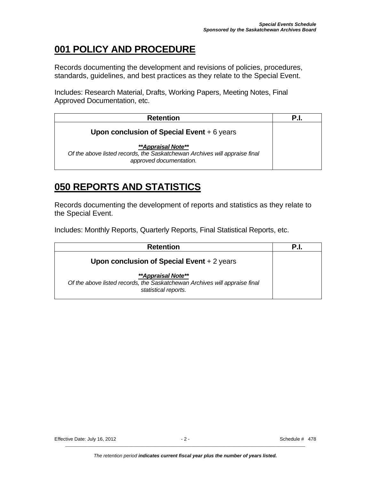## **001 POLICY AND PROCEDURE**

Records documenting the development and revisions of policies, procedures, standards, guidelines, and best practices as they relate to the Special Event.

Includes: Research Material, Drafts, Working Papers, Meeting Notes, Final Approved Documentation, etc.

| <b>Retention</b>                                                                                                            | P.I. |
|-----------------------------------------------------------------------------------------------------------------------------|------|
| Upon conclusion of Special Event $+6$ years                                                                                 |      |
| **Appraisal Note**<br>Of the above listed records, the Saskatchewan Archives will appraise final<br>approved documentation. |      |

## **050 REPORTS AND STATISTICS**

Records documenting the development of reports and statistics as they relate to the Special Event.

Includes: Monthly Reports, Quarterly Reports, Final Statistical Reports, etc.

| <b>Retention</b>                                                                                                         | P.I. |
|--------------------------------------------------------------------------------------------------------------------------|------|
| Upon conclusion of Special Event $+2$ years                                                                              |      |
| **Appraisal Note**<br>Of the above listed records, the Saskatchewan Archives will appraise final<br>statistical reports. |      |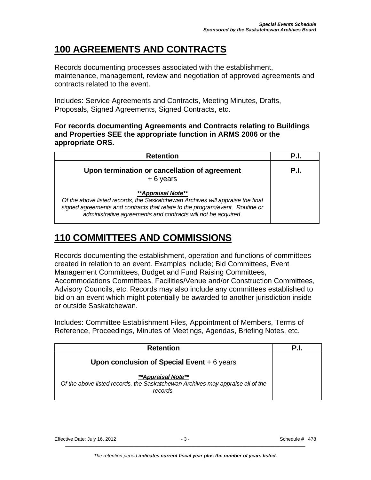# **100 AGREEMENTS AND CONTRACTS**

Records documenting processes associated with the establishment, maintenance, management, review and negotiation of approved agreements and contracts related to the event.

Includes: Service Agreements and Contracts, Meeting Minutes, Drafts, Proposals, Signed Agreements, Signed Contracts, etc.

#### **For records documenting Agreements and Contracts relating to Buildings and Properties SEE the appropriate function in ARMS 2006 or the appropriate ORS.**

| <b>Retention</b>                                                                                                                                                                                                                                      | P.I. |
|-------------------------------------------------------------------------------------------------------------------------------------------------------------------------------------------------------------------------------------------------------|------|
| Upon termination or cancellation of agreement<br>$+6$ years                                                                                                                                                                                           | P.I. |
| **Appraisal Note**<br>Of the above listed records, the Saskatchewan Archives will appraise the final<br>signed agreements and contracts that relate to the program/event. Routine or<br>administrative agreements and contracts will not be acquired. |      |

## **110 COMMITTEES AND COMMISSIONS**

Records documenting the establishment, operation and functions of committees created in relation to an event. Examples include; Bid Committees, Event Management Committees, Budget and Fund Raising Committees, Accommodations Committees, Facilities/Venue and/or Construction Committees, Advisory Councils, etc. Records may also include any committees established to bid on an event which might potentially be awarded to another jurisdiction inside or outside Saskatchewan.

Includes: Committee Establishment Files, Appointment of Members, Terms of Reference, Proceedings, Minutes of Meetings, Agendas, Briefing Notes, etc.

| <b>Retention</b>                                                                                                 | P.I. |
|------------------------------------------------------------------------------------------------------------------|------|
| Upon conclusion of Special Event $+6$ years                                                                      |      |
| **Appraisal Note**<br>Of the above listed records, the Saskatchewan Archives may appraise all of the<br>records. |      |

Effective Date: July 16, 2012 **- 3 - 3 - Schedule # 478**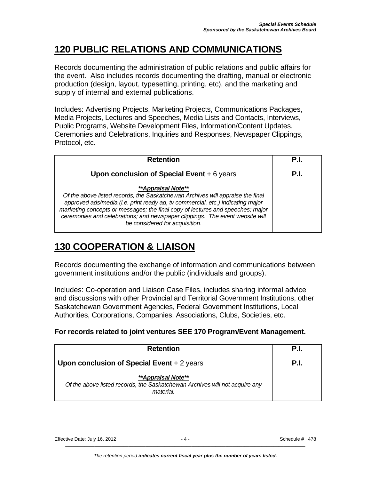#### **120 PUBLIC RELATIONS AND COMMUNICATIONS**

Records documenting the administration of public relations and public affairs for the event. Also includes records documenting the drafting, manual or electronic production (design, layout, typesetting, printing, etc), and the marketing and supply of internal and external publications.

Includes: Advertising Projects, Marketing Projects, Communications Packages, Media Projects, Lectures and Speeches, Media Lists and Contacts, Interviews, Public Programs, Website Development Files, Information/Content Updates, Ceremonies and Celebrations, Inquiries and Responses, Newspaper Clippings, Protocol, etc.

| <b>Retention</b>                                                                                                                                                                                                                                                                                                                                                                                         | P.I  |
|----------------------------------------------------------------------------------------------------------------------------------------------------------------------------------------------------------------------------------------------------------------------------------------------------------------------------------------------------------------------------------------------------------|------|
| Upon conclusion of Special Event $+6$ years                                                                                                                                                                                                                                                                                                                                                              | P.I. |
| <i><b>**Appraisal Note**</b></i><br>Of the above listed records, the Saskatchewan Archives will appraise the final<br>approved ads/media (i.e. print ready ad, tv commercial, etc.) indicating major<br>marketing concepts or messages; the final copy of lectures and speeches; major<br>ceremonies and celebrations; and newspaper clippings. The event website will<br>be considered for acquisition. |      |

## **130 COOPERATION & LIAISON**

Records documenting the exchange of information and communications between government institutions and/or the public (individuals and groups).

Includes: Co-operation and Liaison Case Files, includes sharing informal advice and discussions with other Provincial and Territorial Government Institutions, other Saskatchewan Government Agencies, Federal Government Institutions, Local Authorities, Corporations, Companies, Associations, Clubs, Societies, etc.

#### **For records related to joint ventures SEE 170 Program/Event Management.**

| <b>Retention</b>                                                                                                             | P.I. |
|------------------------------------------------------------------------------------------------------------------------------|------|
| Upon conclusion of Special Event $+2$ years                                                                                  | P.I. |
| <i><b>**Appraisal Note**</b></i><br>Of the above listed records, the Saskatchewan Archives will not acquire any<br>material. |      |

Effective Date: July 16, 2012 **- A** - 4 - Schedule # 478  $\overline{\phantom{a}}$  , and the contribution of the contribution of the contribution of the contribution of the contribution of the contribution of the contribution of the contribution of the contribution of the contribution of the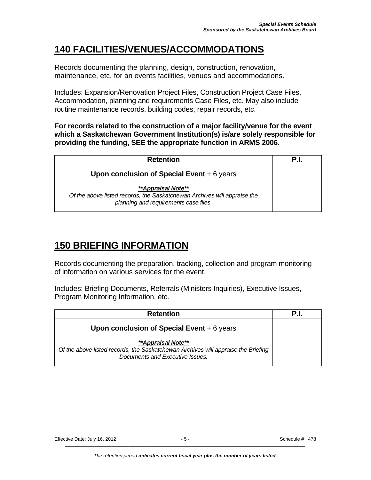## **140 FACILITIES/VENUES/ACCOMMODATIONS**

Records documenting the planning, design, construction, renovation, maintenance, etc. for an events facilities, venues and accommodations.

Includes: Expansion/Renovation Project Files, Construction Project Case Files, Accommodation, planning and requirements Case Files, etc. May also include routine maintenance records, building codes, repair records, etc.

**For records related to the construction of a major facility/venue for the event which a Saskatchewan Government Institution(s) is/are solely responsible for providing the funding, SEE the appropriate function in ARMS 2006.** 

| <b>Retention</b>                                                                                                                        |  |
|-----------------------------------------------------------------------------------------------------------------------------------------|--|
| Upon conclusion of Special Event $+6$ years                                                                                             |  |
| **Appraisal Note**<br>Of the above listed records, the Saskatchewan Archives will appraise the<br>planning and requirements case files. |  |

# **150 BRIEFING INFORMATION**

Records documenting the preparation, tracking, collection and program monitoring of information on various services for the event.

Includes: Briefing Documents, Referrals (Ministers Inquiries), Executive Issues, Program Monitoring Information, etc.

| <b>Retention</b>                                                                                                                           | P.I. |
|--------------------------------------------------------------------------------------------------------------------------------------------|------|
| Upon conclusion of Special Event $+6$ years                                                                                                |      |
| **Appraisal Note**<br>Of the above listed records, the Saskatchewan Archives will appraise the Briefing<br>Documents and Executive Issues. |      |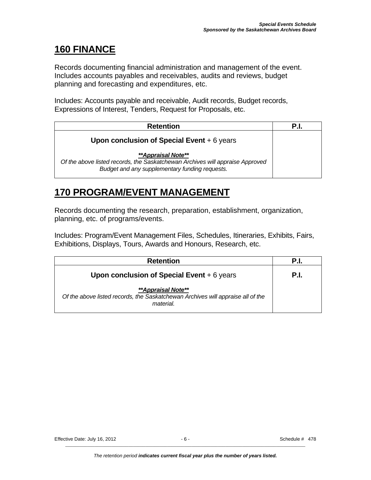#### **160 FINANCE**

Records documenting financial administration and management of the event. Includes accounts payables and receivables, audits and reviews, budget planning and forecasting and expenditures, etc.

Includes: Accounts payable and receivable, Audit records, Budget records, Expressions of Interest, Tenders, Request for Proposals, etc.

| <b>Retention</b>                                                                                                                                             | P.I. |
|--------------------------------------------------------------------------------------------------------------------------------------------------------------|------|
| Upon conclusion of Special Event $+6$ years                                                                                                                  |      |
| <b>**Appraisal Note**</b><br>Of the above listed records, the Saskatchewan Archives will appraise Approved<br>Budget and any supplementary funding requests. |      |

#### **170 PROGRAM/EVENT MANAGEMENT**

Records documenting the research, preparation, establishment, organization, planning, etc. of programs/events.

Includes: Program/Event Management Files, Schedules, Itineraries, Exhibits, Fairs, Exhibitions, Displays, Tours, Awards and Honours, Research, etc.

| <b>Retention</b>                                                                                                  | P.I. |
|-------------------------------------------------------------------------------------------------------------------|------|
| Upon conclusion of Special Event $+6$ years                                                                       | P.I. |
| **Appraisal Note**<br>Of the above listed records, the Saskatchewan Archives will appraise all of the<br>material |      |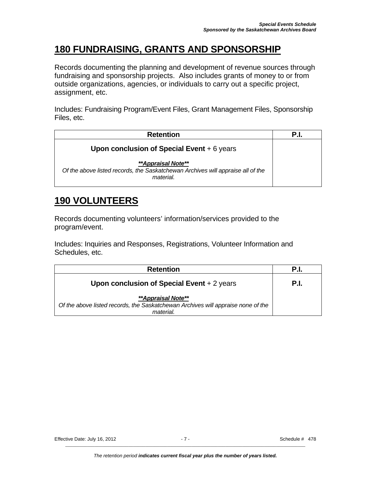## **180 FUNDRAISING, GRANTS AND SPONSORSHIP**

Records documenting the planning and development of revenue sources through fundraising and sponsorship projects. Also includes grants of money to or from outside organizations, agencies, or individuals to carry out a specific project, assignment, etc.

Includes: Fundraising Program/Event Files, Grant Management Files, Sponsorship Files, etc.

| <b>Retention</b>                                                                                                   | P.I. |
|--------------------------------------------------------------------------------------------------------------------|------|
| Upon conclusion of Special Event $+6$ years                                                                        |      |
| **Appraisal Note**<br>Of the above listed records, the Saskatchewan Archives will appraise all of the<br>material. |      |

## **190 VOLUNTEERS**

Records documenting volunteers' information/services provided to the program/event.

Includes: Inquiries and Responses, Registrations, Volunteer Information and Schedules, etc.

| <b>Retention</b>                                                                                                    |      |
|---------------------------------------------------------------------------------------------------------------------|------|
| Upon conclusion of Special Event $+2$ years                                                                         | P.I. |
| **Appraisal Note**<br>Of the above listed records, the Saskatchewan Archives will appraise none of the<br>material. |      |